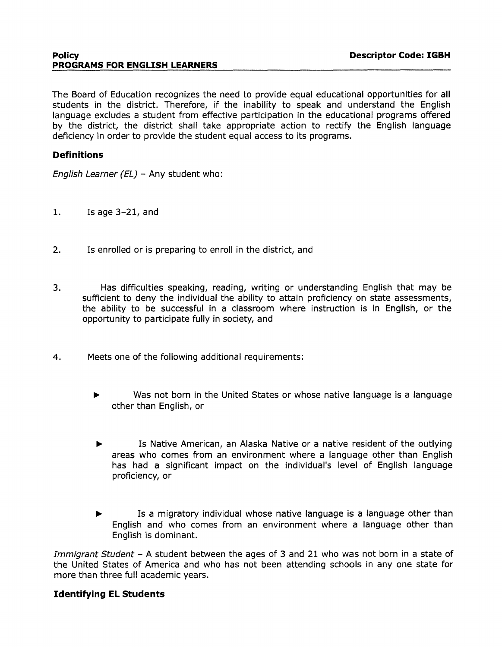#### **Policy Descriptor Code: IGBH PROGRAMS FOR ENGLISH LEARNERS**

The Board of Education recognizes the need to provide equal educational opportunities for all students in the district. Therefore, if the inability to speak and understand the English language excludes a student from effective participation in the educational programs offered by the district, the district shall take appropriate action to rectify the English language deficiency in order to provide the student equal access to its programs.

## **Definitions**

English Learner (EL) - Any student who:

- 1. Is age 3-21, and
- 2. Is enrolled or is preparing to enroll in the district, and
- 3. Has difficulties speaking, reading, writing or understanding English that may be sufficient to deny the individual the ability to attain proficiency on state assessments, the ability to be successful in a classroom where instruction is in English, or the opportunity to participate fully in society, and
- 4. Meets one of the following additional requirements:
	- ..,. Was not born in the United States or whose native language is a language other than English, or
	- ..,. Is Native American, an Alaska Native or a native resident of the outlying areas who comes from an environment where a language other than English has had a significant impact on the individual's level of English language proficiency, or
	- Is a migratory individual whose native language is a language other than English and who comes from an environment where a language other than English is dominant.

Immigrant Student - A student between the ages of 3 and 21 who was not born in a state of the United States of America and who has not been attending schools in any one state for more than three full academic years.

#### **Identifying El Students**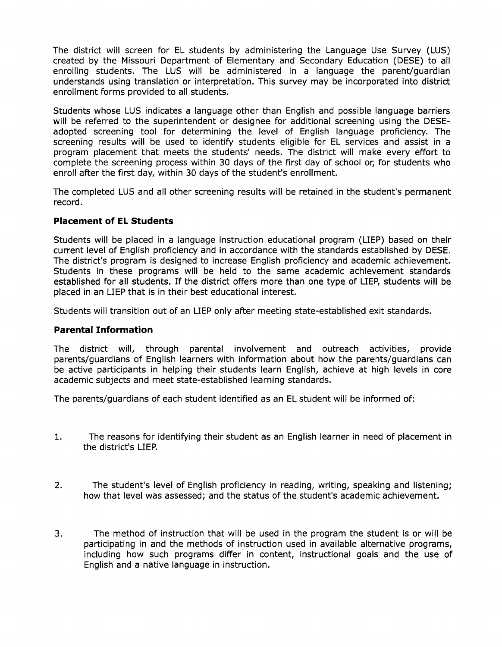The district will screen for EL students by administering the Language Use Survey (LUS) created by the Missouri Department of Elementary and Secondary Education (DESE) to all enrolling students. The LUS will be administered in a language the parent/guardian understands using translation or interpretation. This survey may be incorporated into district enrollment forms provided to all students.

Students whose LUS indicates a language other than English and possible language barriers will be referred to the superintendent or designee for additional screening using the DESEadopted screening tool for determining the level of English language proficiency. The screening results will be used to identify students eligible for EL services and assist in a program placement that meets the students' needs. The district will make every effort to complete the screening process within 30 days of the first day of school or, for students who enroll after the first day, within 30 days of the student's enrollment.

The completed LUS and all other screening results will be retained in the student's permanent record.

## **Placement of EL Students**

Students will be placed in a language instruction educational program (LIEP) based on their current level of English proficiency and in accordance with the standards established by DESE. The district's program is designed to increase English proficiency and academic achievement. Students in these programs will be held to the same academic achievement standards established for all students. If the district offers more than one type of LIEP, students will be placed in an LIEP that is in their best educational interest.

Students will transition out of an LIEP only after meeting state-established exit standards.

## **Parental Information**

The district will, through parental involvement and outreach activities, provide parents/guardians of English learners with information about how the parents/guardians can be active participants in helping their students learn English, achieve at high levels in core academic subjects and meet state-established learning standards.

The parents/guardians of each student identified as an EL student will be informed of:

- 1. The reasons for identifying their student as an English learner in need of placement in the district's LIEP.
- 2. The student's level of English proficiency in reading, writing, speaking and listening; how that level was assessed; and the status of the student's academic achievement.
- 3. The method of instruction that will be used in the program the student is or will be participating in and the methods of instruction used in available alternative programs, including how such programs differ in content, instructional goals and the use of English and a native language in instruction.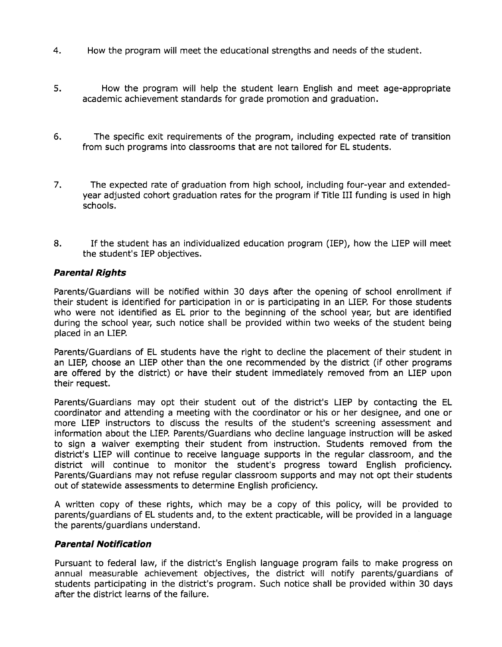- 4. How the program will meet the educational strengths and needs of the student.
- 5. How the program will help the student learn English and meet age-appropriate academic achievement standards for grade promotion and graduation.
- 6. The specific exit requirements of the program, including expected rate of transition from such programs into classrooms that are not tailored for EL students.
- 7. The expected rate of graduation from high school, including four-year and extendedyear adjusted cohort graduation rates for the program if Title III funding is used in high schools.
- 8. If the student has an individualized education program (IEP), how the LIEP will meet the student's IEP objectives.

### **Parental Rights**

Parents/Guardians will be notified within 30 days after the opening of school enrollment if their student is identified for participation in or is participating in an LIEP. For those students who were not identified as EL prior to the beginning of the school year, but are identified during the school year, such notice shall be provided within two weeks of the student being placed in an LIEP.

Parents/Guardians of EL students have the right to decline the placement of their student in an LIEP, choose an LIEP other than the one recommended by the district (if other programs are offered by the district) or have their student immediately removed from an LIEP upon their request.

Parents/Guardians may opt their student out of the district's LIEP by contacting the EL coordinator and attending a meeting with the coordinator or his or her designee, and one or more LIEP instructors to discuss the results of the student's screening assessment and information about the LIEP. Parents/Guardians who decline language instruction will be asked to sign a waiver exempting their student from instruction. Students removed from the district's LIEP will continue to receive language supports in the regular classroom, and the district will continue to monitor the student's progress toward English proficiency. Parents/Guardians may not refuse regular classroom supports and may not opt their students out of statewide assessments to determine English proficiency.

A written copy of these rights, which may be a copy of this policy, will be provided to parents/guardians of EL students and, to the extent practicable, will be provided in a language the parents/guardians understand.

#### **Parental Notification**

Pursuant to federal law, if the district's English language program fails to make progress on annual measurable achievement objectives, the district will notify parents/guardians of students participating in the district's program. Such notice shall be provided within 30 days after the district learns of the failure.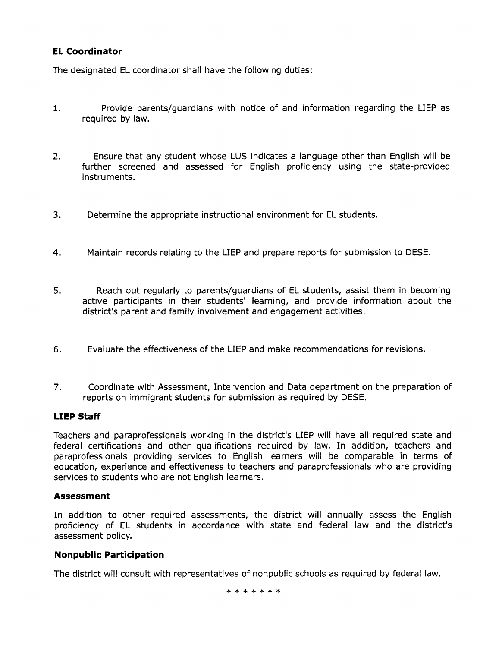## **EL Coordinator**

The designated EL coordinator shall have the following duties:

- 1. Provide parents/guardians with notice of and information regarding the LIEP as required by law.
- 2. Ensure that any student whose LUS indicates a language other than English will be further screened and assessed for English proficiency using the state-provided instruments.
- 3. Determine the appropriate instructional environment for EL students.
- 4. Maintain records relating to the LIEP and prepare reports for submission to DESE.
- 5. Reach out regularly to parents/guardians of EL students, assist them in becoming active participants in their students' learning, and provide information about the district's parent and family involvement and engagement activities.
- 6. Evaluate the effectiveness of the LIEP and make recommendations for revisions.
- 7. Coordinate with Assessment, Intervention and Data department on the preparation of reports on immigrant students for submission as required by DESE.

# **LIEP Staff**

Teachers and paraprofessionals working in the district's LIEP will have all required state and federal certifications and other qualifications required by law. In addition, teachers and paraprofessionals providing services to English learners will be comparable in terms of education, experience and effectiveness to teachers and paraprofessionals who are providing services to students who are not English learners.

## **Assessment**

In addition to other required assessments, the district will annually assess the English proficiency of EL students in accordance with state and federal law and the district's assessment policy.

# **Nonpublic Participation**

The district will consult with representatives of nonpublic schools as required by federal law.

\*\*\*\*\*\*\*